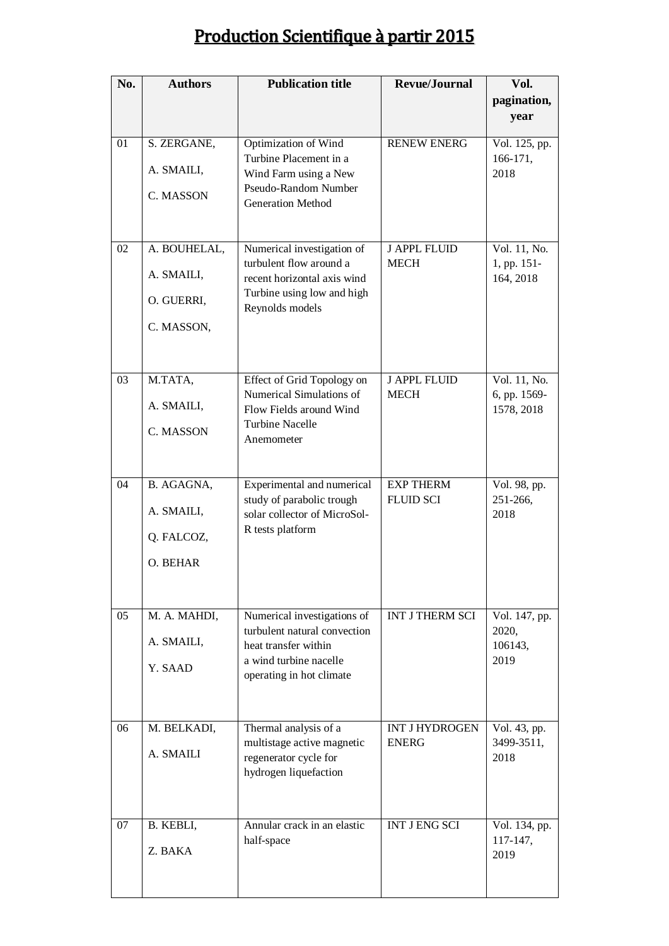## Production Scientifique à partir 2015

| No. | <b>Authors</b> | <b>Publication title</b>                                | <b>Revue/Journal</b>                  | Vol.                         |
|-----|----------------|---------------------------------------------------------|---------------------------------------|------------------------------|
|     |                |                                                         |                                       | pagination,<br>year          |
| 01  | S. ZERGANE,    | Optimization of Wind<br>Turbine Placement in a          | <b>RENEW ENERG</b>                    | Vol. 125, pp.<br>166-171,    |
|     | A. SMAILI,     | Wind Farm using a New                                   |                                       | 2018                         |
|     | C. MASSON      | Pseudo-Random Number<br><b>Generation Method</b>        |                                       |                              |
| 02  | A. BOUHELAL,   | Numerical investigation of                              | <b>J APPL FLUID</b>                   | Vol. 11, No.                 |
|     | A. SMAILI,     | turbulent flow around a<br>recent horizontal axis wind  | <b>MECH</b>                           | 1, pp. 151-<br>164, 2018     |
|     | O. GUERRI,     | Turbine using low and high<br>Reynolds models           |                                       |                              |
|     | C. MASSON,     |                                                         |                                       |                              |
|     |                |                                                         |                                       |                              |
| 03  | M.TATA,        | Effect of Grid Topology on<br>Numerical Simulations of  | <b>J APPL FLUID</b><br><b>MECH</b>    | Vol. 11, No.<br>6, pp. 1569- |
|     | A. SMAILI,     | Flow Fields around Wind                                 |                                       | 1578, 2018                   |
|     | C. MASSON      | <b>Turbine Nacelle</b><br>Anemometer                    |                                       |                              |
|     |                |                                                         |                                       |                              |
| 04  | B. AGAGNA,     | Experimental and numerical<br>study of parabolic trough | <b>EXP THERM</b><br><b>FLUID SCI</b>  | Vol. 98, pp.<br>251-266,     |
|     | A. SMAILI,     | solar collector of MicroSol-                            |                                       | 2018                         |
|     | Q. FALCOZ,     | R tests platform                                        |                                       |                              |
|     | O. BEHAR       |                                                         |                                       |                              |
| 05  | M. A. MAHDI,   | Numerical investigations of                             | <b>INT J THERM SCI</b>                | Vol. 147, pp.                |
|     | A. SMAILI,     | turbulent natural convection<br>heat transfer within    |                                       | 2020,<br>106143,             |
|     | Y. SAAD        | a wind turbine nacelle<br>operating in hot climate      |                                       | 2019                         |
|     |                |                                                         |                                       |                              |
| 06  | M. BELKADI,    | Thermal analysis of a<br>multistage active magnetic     | <b>INT J HYDROGEN</b><br><b>ENERG</b> | Vol. 43, pp.<br>3499-3511,   |
|     | A. SMAILI      | regenerator cycle for<br>hydrogen liquefaction          |                                       | 2018                         |
|     |                |                                                         |                                       |                              |
| 07  | B. KEBLI,      | Annular crack in an elastic<br>half-space               | <b>INT JENG SCI</b>                   | Vol. 134, pp.<br>117-147,    |
|     | Z. BAKA        |                                                         |                                       | 2019                         |
|     |                |                                                         |                                       |                              |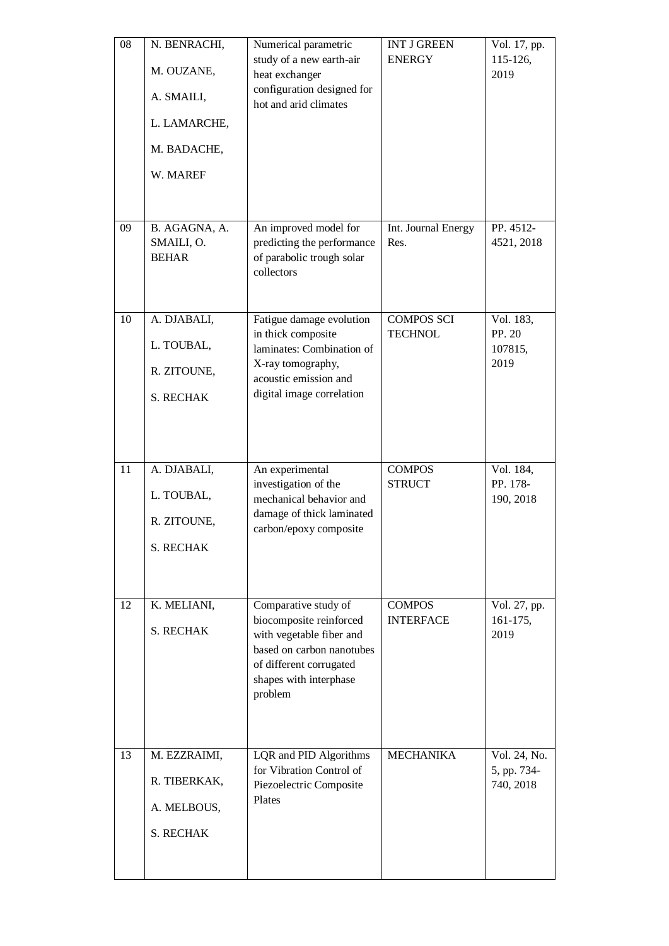| 08<br>09 | N. BENRACHI,<br>M. OUZANE,<br>A. SMAILI,<br>L. LAMARCHE,<br>M. BADACHE,<br>W. MAREF<br>B. AGAGNA, A. | Numerical parametric<br>study of a new earth-air<br>heat exchanger<br>configuration designed for<br>hot and arid climates<br>An improved model for                       | <b>INT J GREEN</b><br><b>ENERGY</b><br>Int. Journal Energy | Vol. 17, pp.<br>115-126,<br>2019<br>PP. 4512- |
|----------|------------------------------------------------------------------------------------------------------|--------------------------------------------------------------------------------------------------------------------------------------------------------------------------|------------------------------------------------------------|-----------------------------------------------|
|          | SMAILI, O.<br><b>BEHAR</b>                                                                           | predicting the performance<br>of parabolic trough solar<br>collectors                                                                                                    | Res.                                                       | 4521, 2018                                    |
| 10       | A. DJABALI,<br>L. TOUBAL,<br>R. ZITOUNE,<br><b>S. RECHAK</b>                                         | Fatigue damage evolution<br>in thick composite<br>laminates: Combination of<br>X-ray tomography,<br>acoustic emission and<br>digital image correlation                   | <b>COMPOS SCI</b><br><b>TECHNOL</b>                        | Vol. 183,<br>PP. 20<br>107815,<br>2019        |
| 11       | A. DJABALI,<br>L. TOUBAL,<br>R. ZITOUNE,<br><b>S. RECHAK</b>                                         | An experimental<br>investigation of the<br>mechanical behavior and<br>damage of thick laminated<br>carbon/epoxy composite                                                | <b>COMPOS</b><br><b>STRUCT</b>                             | Vol. 184,<br>PP. 178-<br>190, 2018            |
| 12       | K. MELIANI,<br><b>S. RECHAK</b>                                                                      | Comparative study of<br>biocomposite reinforced<br>with vegetable fiber and<br>based on carbon nanotubes<br>of different corrugated<br>shapes with interphase<br>problem | <b>COMPOS</b><br><b>INTERFACE</b>                          | Vol. 27, pp.<br>$161 - 175$ ,<br>2019         |
| 13       | M. EZZRAIMI,<br>R. TIBERKAK,<br>A. MELBOUS,<br><b>S. RECHAK</b>                                      | LQR and PID Algorithms<br>for Vibration Control of<br>Piezoelectric Composite<br>Plates                                                                                  | <b>MECHANIKA</b>                                           | Vol. 24, No.<br>5, pp. 734-<br>740, 2018      |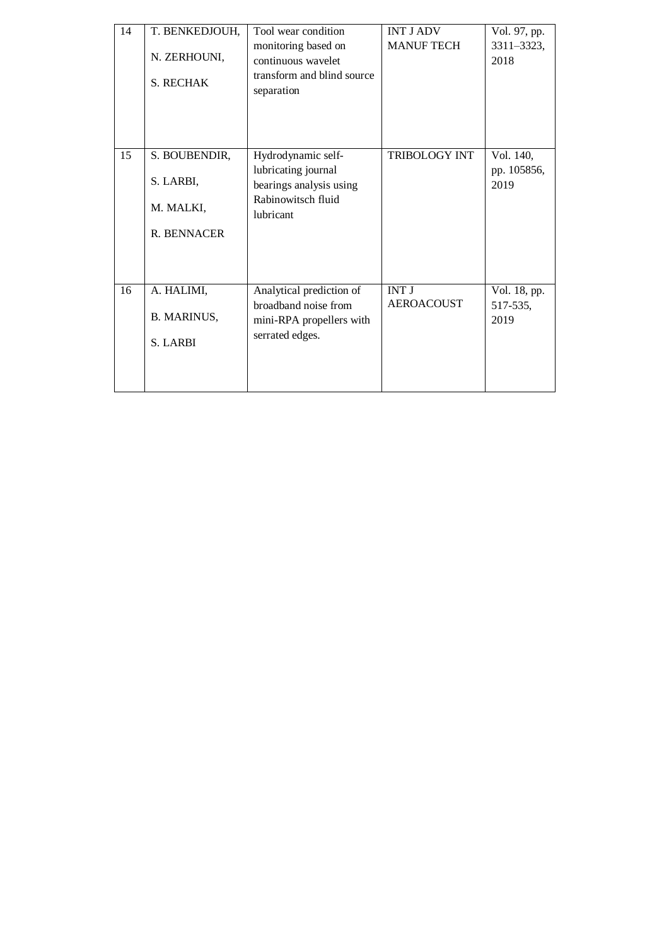| 14 | T. BENKEDJOUH,<br>N. ZERHOUNI,<br><b>S. RECHAK</b>     | Tool wear condition<br>monitoring based on<br>continuous wavelet<br>transform and blind source<br>separation | <b>INT J ADV</b><br><b>MANUF TECH</b> | Vol. 97, pp.<br>3311-3323,<br>2018 |
|----|--------------------------------------------------------|--------------------------------------------------------------------------------------------------------------|---------------------------------------|------------------------------------|
| 15 | S. BOUBENDIR,<br>S. LARBI,<br>M. MALKI,<br>R. BENNACER | Hydrodynamic self-<br>lubricating journal<br>bearings analysis using<br>Rabinowitsch fluid<br>lubricant      | <b>TRIBOLOGY INT</b>                  | Vol. 140,<br>pp. 105856,<br>2019   |
| 16 | A. HALIMI,<br><b>B. MARINUS,</b><br><b>S. LARBI</b>    | Analytical prediction of<br>broadband noise from<br>mini-RPA propellers with<br>serrated edges.              | <b>INT J</b><br><b>AEROACOUST</b>     | Vol. 18, pp.<br>517-535,<br>2019   |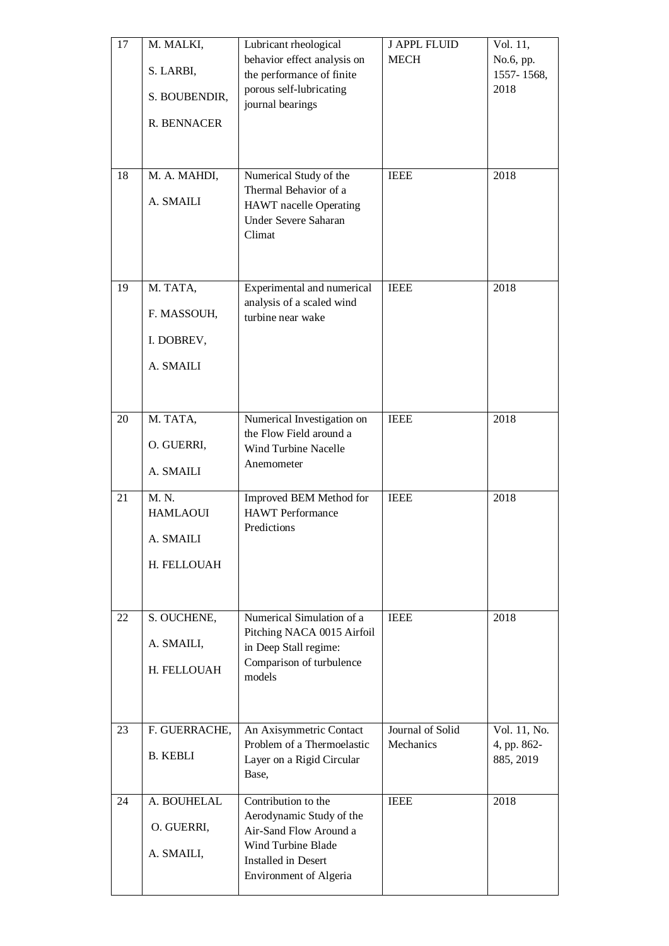| 17<br>18 | M. MALKI,<br>S. LARBI,<br>S. BOUBENDIR,<br>R. BENNACER<br>M. A. MAHDI, | Lubricant rheological<br>behavior effect analysis on<br>the performance of finite<br>porous self-lubricating<br>journal bearings<br>Numerical Study of the<br>Thermal Behavior of a | <b>J APPL FLUID</b><br><b>MECH</b><br><b>IEEE</b> | Vol. 11,<br>No.6, pp.<br>1557-1568,<br>2018<br>2018 |
|----------|------------------------------------------------------------------------|-------------------------------------------------------------------------------------------------------------------------------------------------------------------------------------|---------------------------------------------------|-----------------------------------------------------|
|          | A. SMAILI                                                              | <b>HAWT</b> nacelle Operating<br>Under Severe Saharan<br>Climat                                                                                                                     |                                                   |                                                     |
| 19       | M. TATA,<br>F. MASSOUH,<br>I. DOBREV,<br>A. SMAILI                     | Experimental and numerical<br>analysis of a scaled wind<br>turbine near wake                                                                                                        | <b>IEEE</b>                                       | 2018                                                |
| 20       | M. TATA,<br>O. GUERRI,<br>A. SMAILI                                    | Numerical Investigation on<br>the Flow Field around a<br><b>Wind Turbine Nacelle</b><br>Anemometer                                                                                  | <b>IEEE</b>                                       | 2018                                                |
| 21       | M. N.<br><b>HAMLAOUI</b><br>A. SMAILI<br>H. FELLOUAH                   | Improved BEM Method for<br><b>HAWT</b> Performance<br>Predictions                                                                                                                   | <b>IEEE</b>                                       | 2018                                                |
| 22       | S. OUCHENE,<br>A. SMAILI,<br>H. FELLOUAH                               | Numerical Simulation of a<br>Pitching NACA 0015 Airfoil<br>in Deep Stall regime:<br>Comparison of turbulence<br>models                                                              | <b>IEEE</b>                                       | 2018                                                |
| 23       | F. GUERRACHE,<br><b>B. KEBLI</b>                                       | An Axisymmetric Contact<br>Problem of a Thermoelastic<br>Layer on a Rigid Circular<br>Base,                                                                                         | Journal of Solid<br>Mechanics                     | Vol. 11, No.<br>4, pp. 862-<br>885, 2019            |
| 24       | A. BOUHELAL<br>O. GUERRI,<br>A. SMAILI,                                | Contribution to the<br>Aerodynamic Study of the<br>Air-Sand Flow Around a<br>Wind Turbine Blade<br><b>Installed in Desert</b><br><b>Environment of Algeria</b>                      | <b>IEEE</b>                                       | 2018                                                |